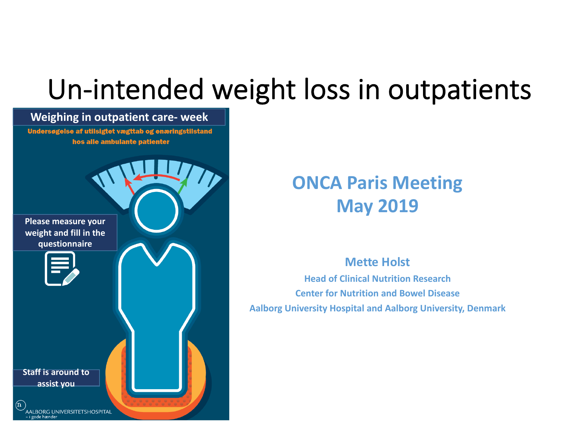# Un-intended weight loss in outpatients

## **Weighing in outpatient care- week** Undersøgelse af utilsigtet vægttab og enæringstilstand hos alle ambulante patienter **Please measure your weight and fill in the questionnaire Staff is around to assist you** $\mathbf{u}$ AALBORG UNIVERSITETSHOSPITAL i gode hænder

### **ONCA Paris Meeting May 2019**

### **Mette Holst Head of Clinical Nutrition Research Center for Nutrition and Bowel Disease**

**Aalborg University Hospital and Aalborg University, Denmark**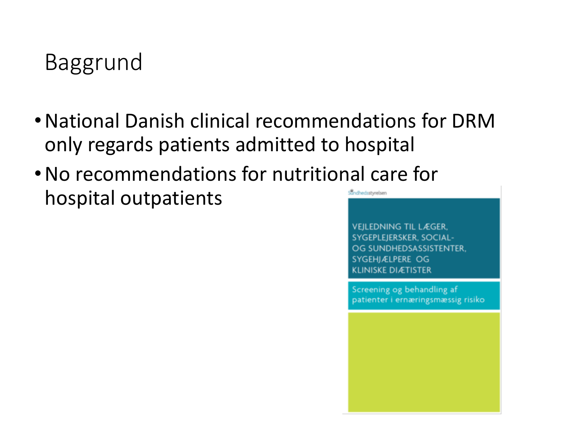## Baggrund

- •National Danish clinical recommendations for DRM only regards patients admitted to hospital
- •No recommendations for nutritional care for Sundhedsstyrelsen hospital outpatients

**VEILEDNING TIL LÆGER.** SYGEPLEJERSKER, SOCIAL-OG SUNDHEDSASSISTENTER. SYGEHJÆLPERE OG **KLINISKE DIÆTISTER** 

Screening og behandling af patienter i ernæringsmæssig risiko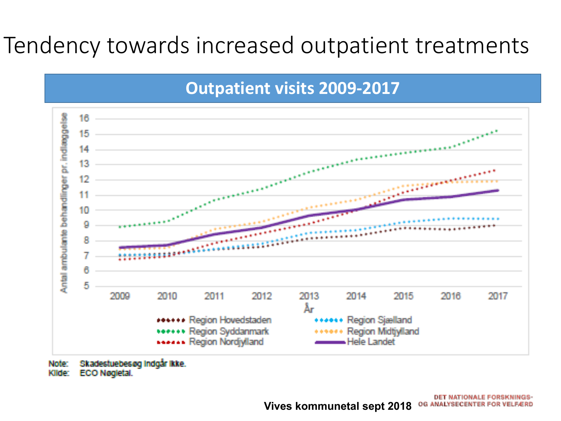## Tendency towards increased outpatient treatments



Skadestuebesøg Indgår Ikke. Note: Kilde: ECO Nøgletal.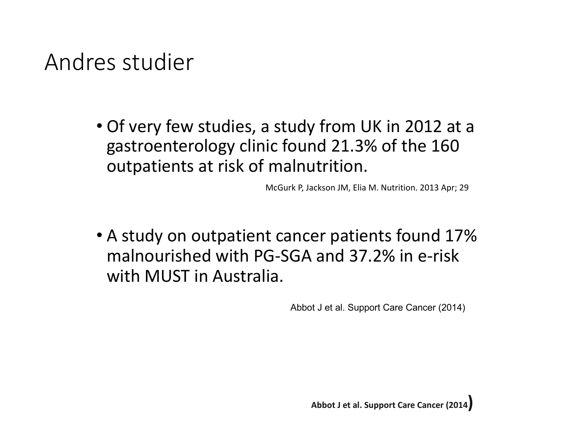### Andres studier

• Of very few studies, a study from UK in 2012 at a gastroenterology clinic found 21.3% of the 160 outpatients at risk of malnutrition.

McGurk P, Jackson JM, Elia M. Nutrition. 2013 Apr; 29

• A study on outpatient cancer patients found 17% malnourished with PG-SGA and 37.2% in e-risk with MUST in Australia.

Abbot J et al. Support Care Cancer (2014)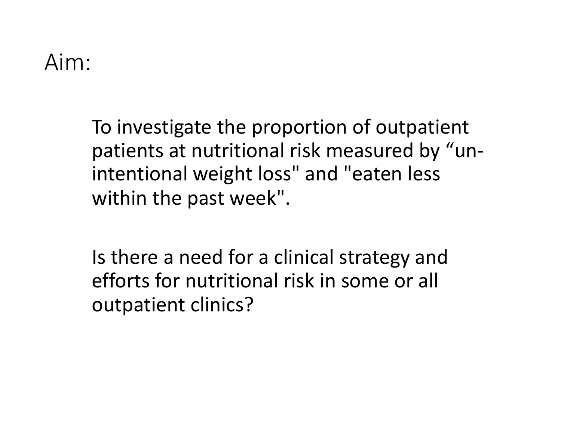### Aim:

To investigate the proportion of outpatient patients at nutritional risk measured by "unintentional weight loss" and "eaten less within the past week".

Is there a need for a clinical strategy and efforts for nutritional risk in some or all outpatient clinics?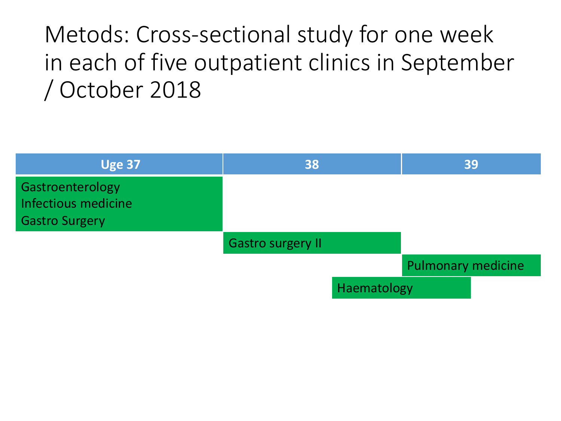## Metods: Cross-sectional study for one week in each of five outpatient clinics in September / October 2018

| <b>Uge 37</b>                                                    | 38                       |             | 39                        |  |
|------------------------------------------------------------------|--------------------------|-------------|---------------------------|--|
| Gastroenterology<br>Infectious medicine<br><b>Gastro Surgery</b> |                          |             |                           |  |
|                                                                  | <b>Gastro surgery II</b> |             |                           |  |
|                                                                  |                          |             | <b>Pulmonary medicine</b> |  |
|                                                                  |                          | Haematology |                           |  |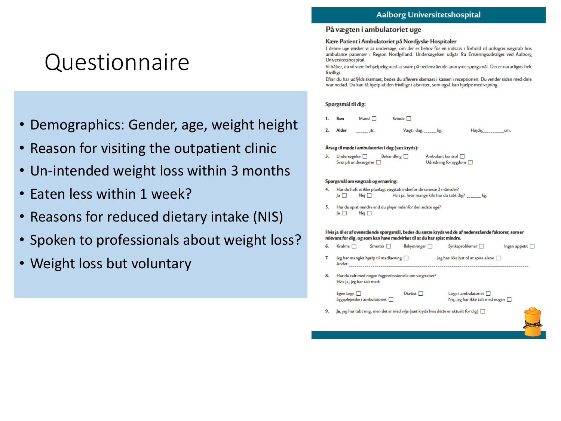### Questionnaire

- Demographics: Gender, age, weight height
- Reason for visiting the outpatient clinic
- Un-intended weight loss within 3 months
- Eaten less within 1 week?
- Reasons for reduced dietary intake (NIS)
- Spoken to professionals about weight loss?
- Weight loss but voluntary

#### På vægten i ambulatoriet uge

#### Kære Patient i Ambulatoriet på Nordjyske Hospitaler

I denne uge ønsker vi at undersøge, om der er behov for en indsats i forhold til utilsigtet vægttab hos ambulante patienter i Region Nordjylland. Undersøgelsen udgår fra Ernæringsudvalget ved Aalborg Universitetshospital.

Vi hâber, du vil være behjælpelig med at svare på nedenstående anonyme spørgsmål. Det er naturligvis helt frivilligt.

Efter du har udfyldt skemaet, bedes du aflevere skemaet i kassen i receptionen. Du vender siden med dine svar nedad. Du kan få hjælp af den frivillige i afsnittet, som også kan hjælpe med vejning.

#### Spørgsmål til dig:

 $2<sup>1</sup>$ Alder Vægt i dag: \_\_\_\_\_\_ kg. Højde: \_\_\_\_\_\_\_\_\_\_\_\_\_cm.

#### Årsag til møde i ambulatoriet i dag (sæt kryds):

| Undersøgelse         | Behandling $\square$ | Ambulant kontrol $\Box$     |
|----------------------|----------------------|-----------------------------|
| Svar på undersøgelse |                      | Udredning for sygdom $\Box$ |

#### Spørgsmål om vægttab og ernæring:

|                |            | Har du haft et ikke planlagt vægttab indenfor de seneste 3 måneder? |
|----------------|------------|---------------------------------------------------------------------|
| $\overline{a}$ | Nej $\Box$ | Hvis ja, hvor mange kilo har du tabt dig? _______ kg.               |
|                |            |                                                                     |

5. Har du spist mindre end du plejer indenfor den sidste uge? Ja  $\square$  $Nej$   $\Box$ 

#### Hvis ja til et af ovenstående spørgsmål, bedes du sætte kryds ved de af nedenstående faktorer, som er relevant for dig, og som kan have medvirket til at du har spist mindre.

| - 6. | Kvalme $\Box$ | $S$ merter $\Box$                              | <b>Bekymringer</b> | Synkeproblemer $\Box$                          | $Ingen$ appetit $\Box$ |
|------|---------------|------------------------------------------------|--------------------|------------------------------------------------|------------------------|
|      | Andet:        | $\log$ har manglet hjælp til madlavning $\Box$ |                    | $\log$ har ikke lyst til at spise alene $\Box$ |                        |

8. Har du talt med nogen fagprofessionelle om vægttabet? Hvis ja, jeg har talt med:

| Egen læge $\Box$                       | Diaetist $\Box$ | $L$ æge i ambulatoriet $\Box$           |
|----------------------------------------|-----------------|-----------------------------------------|
| $S$ ygeplejerske i ambulatoriet $\Box$ |                 | Nej, jeg har ikke talt med nogen $\Box$ |
|                                        |                 |                                         |

9. Ja, jeg har tabt mig, men det er med vilje (sæt kryds hvis dette er aktuelt for dig)  $\Box$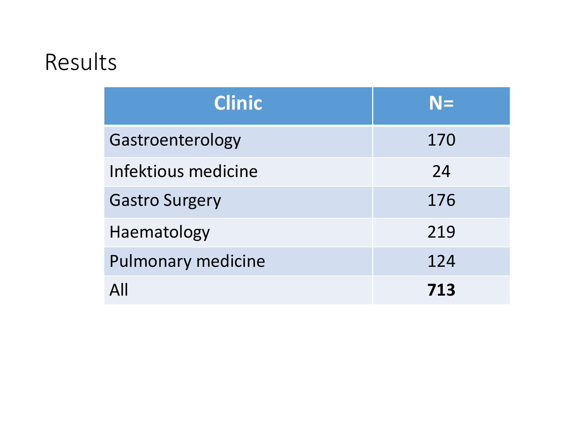### Results

| <b>Clinic</b>             | $N=$ |
|---------------------------|------|
| Gastroenterology          | 170  |
| Infektious medicine       | 24   |
| <b>Gastro Surgery</b>     | 176  |
| Haematology               | 219  |
| <b>Pulmonary medicine</b> | 124  |
| $\Delta$ ll               | 713  |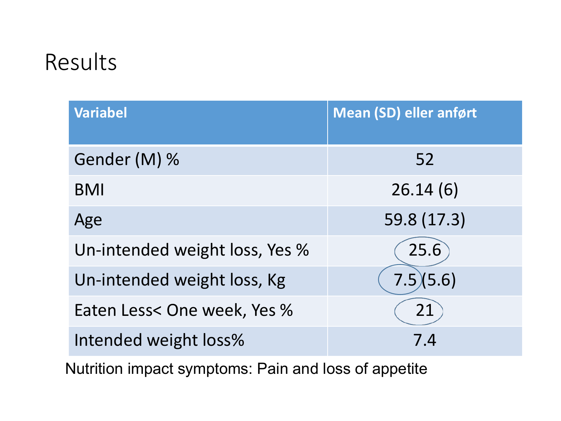### Results

| <b>Variabel</b>                | <b>Mean (SD) eller anført</b> |
|--------------------------------|-------------------------------|
| Gender (M) %                   | 52                            |
| <b>BMI</b>                     | 26.14(6)                      |
| Age                            | 59.8 (17.3)                   |
| Un-intended weight loss, Yes % | 25.6                          |
| Un-intended weight loss, Kg    | 7.5(5.6)                      |
| Eaten Less< One week, Yes %    | 21                            |
| Intended weight loss%          | 7.4                           |

Nutrition impact symptoms: Pain and loss of appetite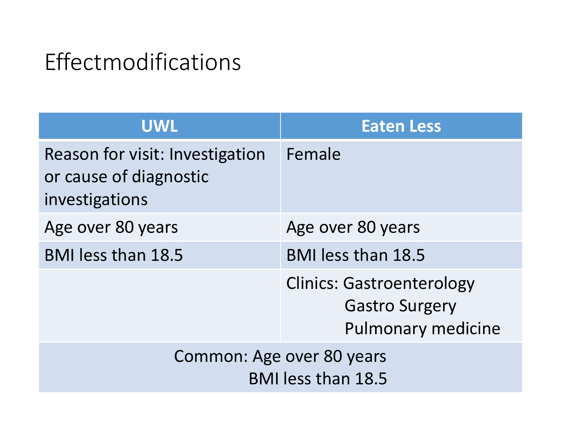## Effectmodifications

| <b>UWL</b>                                                                  | <b>Eaten Less</b>                                                                      |
|-----------------------------------------------------------------------------|----------------------------------------------------------------------------------------|
| Reason for visit: Investigation<br>or cause of diagnostic<br>investigations | Female                                                                                 |
| Age over 80 years                                                           | Age over 80 years                                                                      |
| <b>BMI less than 18.5</b>                                                   | <b>BMI</b> less than 18.5                                                              |
|                                                                             | <b>Clinics: Gastroenterology</b><br><b>Gastro Surgery</b><br><b>Pulmonary medicine</b> |
| Common: Age over 80 years<br><b>BMI</b> less than 18.5                      |                                                                                        |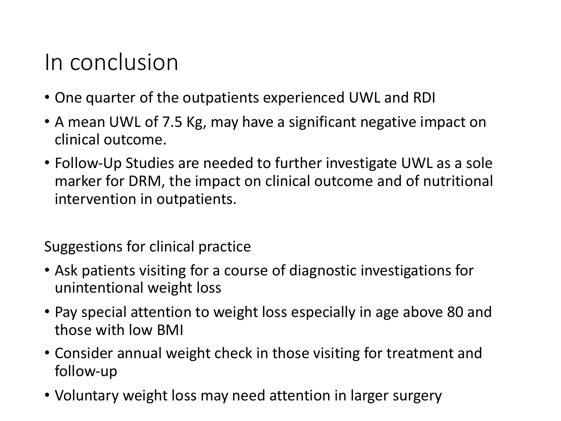### In conclusion

- One quarter of the outpatients experienced UWL and RDI
- A mean UWL of 7.5 Kg, may have a significant negative impact on clinical outcome.
- Follow-Up Studies are needed to further investigate UWL as a sole marker for DRM, the impact on clinical outcome and of nutritional intervention in outpatients.

Suggestions for clinical practice

- Ask patients visiting for a course of diagnostic investigations for unintentional weight loss
- Pay special attention to weight loss especially in age above 80 and those with low BMI
- Consider annual weight check in those visiting for treatment and follow-up
- Voluntary weight loss may need attention in larger surgery